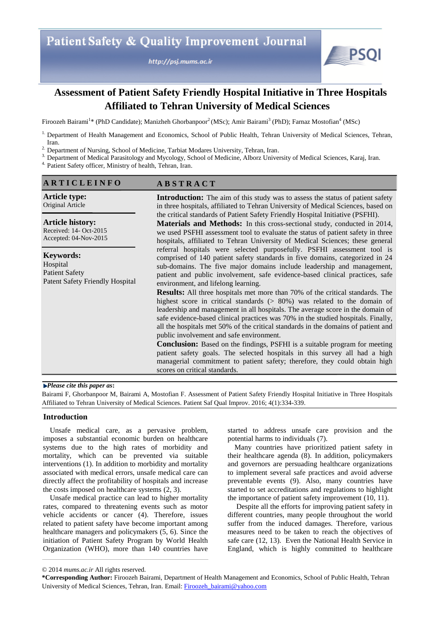http://psj.mums.ac.ir



# **Assessment of Patient Safety Friendly Hospital Initiative in Three Hospitals Affiliated to Tehran University of Medical Sciences**

Firoozeh Bairami<sup>1</sup>\* (PhD Candidate); Manizheh Ghorbanpoor<sup>2</sup> (MSc); Amir Bairami<sup>3</sup> (PhD); Farnaz Mostofian<sup>4</sup> (MSc)

<sup>1.</sup> Department of Health Management and Economics, School of Public Health, Tehran University of Medical Sciences, Tehran, Iran.

<sup>2.</sup> Department of Nursing, School of Medicine, Tarbiat Modares University, Tehran, Iran.

<sup>3.</sup> Department of Medical Parasitology and Mycology, School of Medicine, Alborz University of Medical Sciences, Karaj, Iran.

4. Patient Safety officer, Ministry of health, Tehran, Iran.

| <b>ARTICLEINFO</b>                                                                              | <b>ABSTRACT</b>                                                                                                                                                                                                                                                                                                                                                                                                                                                             |
|-------------------------------------------------------------------------------------------------|-----------------------------------------------------------------------------------------------------------------------------------------------------------------------------------------------------------------------------------------------------------------------------------------------------------------------------------------------------------------------------------------------------------------------------------------------------------------------------|
| <b>Article type:</b><br>Original Article                                                        | <b>Introduction:</b> The aim of this study was to assess the status of patient safety<br>in three hospitals, affiliated to Tehran University of Medical Sciences, based on                                                                                                                                                                                                                                                                                                  |
| <b>Article history:</b><br>Received: 14- Oct-2015<br>Accepted: 04-Nov-2015                      | the critical standards of Patient Safety Friendly Hospital Initiative (PSFHI).<br><b>Materials and Methods:</b> In this cross-sectional study, conducted in 2014,<br>we used PSFHI assessment tool to evaluate the status of patient safety in three<br>hospitals, affiliated to Tehran University of Medical Sciences; these general                                                                                                                                       |
| <b>Keywords:</b><br>Hospital<br><b>Patient Safety</b><br><b>Patent Safety Friendly Hospital</b> | referral hospitals were selected purposefully. PSFHI assessment tool is<br>comprised of 140 patient safety standards in five domains, categorized in 24<br>sub-domains. The five major domains include leadership and management,<br>patient and public involvement, safe evidence-based clinical practices, safe<br>environment, and lifelong learning.                                                                                                                    |
|                                                                                                 | <b>Results:</b> All three hospitals met more than 70% of the critical standards. The<br>highest score in critical standards $(> 80\%)$ was related to the domain of<br>leadership and management in all hospitals. The average score in the domain of<br>safe evidence-based clinical practices was 70% in the studied hospitals. Finally,<br>all the hospitals met 50% of the critical standards in the domains of patient and<br>public involvement and safe environment. |
|                                                                                                 | <b>Conclusion:</b> Based on the findings, PSFHI is a suitable program for meeting<br>patient safety goals. The selected hospitals in this survey all had a high<br>managerial commitment to patient safety; therefore, they could obtain high<br>scores on critical standards.                                                                                                                                                                                              |

#### *Please cite this paper as***:**

Bairami F, Ghorbanpoor M, Bairami A, Mostofian F. Assessment of Patient Safety Friendly Hospital Initiative in Three Hospitals Affiliated to Tehran University of Medical Sciences. Patient Saf Qual Improv. 2016; 4(1):334-339.

#### **Introduction**

Unsafe medical care, as a pervasive problem, imposes a substantial economic burden on healthcare systems due to the high rates of morbidity and mortality, which can be prevented via suitable interventions (1). In addition to morbidity and mortality associated with medical errors, unsafe medical care can directly affect the profitability of hospitals and increase the costs imposed on healthcare systems (2, 3).

Unsafe medical practice can lead to higher mortality rates, compared to threatening events such as motor vehicle accidents or cancer (4). Therefore, issues related to patient safety have become important among healthcare managers and policymakers (5, 6). Since the initiation of Patient Safety Program by World Health Organization (WHO), more than 140 countries have

started to address unsafe care provision and the potential harms to individuals (7).

Many countries have prioritized patient safety in their healthcare agenda (8). In addition, policymakers and governors are persuading healthcare organizations to implement several safe practices and avoid adverse preventable events (9). Also, many countries have started to set accreditations and regulations to highlight the importance of patient safety improvement (10, 11).

Despite all the efforts for improving patient safety in different countries, many people throughout the world suffer from the induced damages. Therefore, various measures need to be taken to reach the objectives of safe care (12, 13). Even the National Health Service in England, which is highly committed to healthcare

<sup>© 2014</sup> *mums.ac.ir* All rights reserved.

**<sup>\*</sup>Corresponding Author:** Firoozeh Bairami, Department of Health Management and Economics, School of Public Health, Tehran University of Medical Sciences, Tehran, Iran. Email: Firoozeh bairami@yahoo.com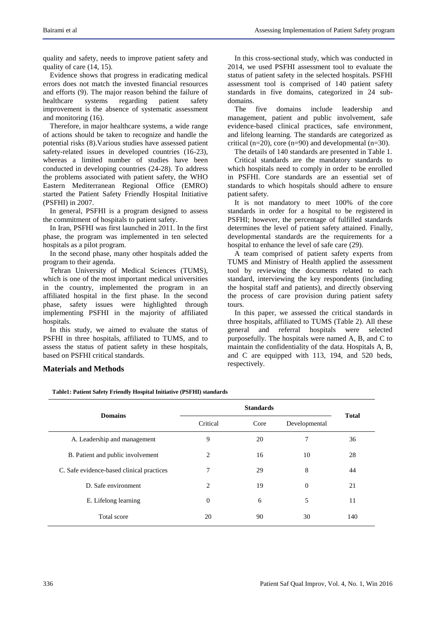quality and safety, needs to improve patient safety and quality of care (14, 15).

Evidence shows that progress in eradicating medical errors does not match the invested financial resources and efforts (9). The major reason behind the failure of healthcare systems regarding patient safety improvement is the absence of systematic assessment and monitoring (16).

Therefore, in major healthcare systems, a wide range of actions should be taken to recognize and handle the potential risks (8).Various studies have assessed patient safety-related issues in developed countries (16-23), whereas a limited number of studies have been conducted in developing countries (24-28). To address the problems associated with patient safety, the WHO Eastern Mediterranean Regional Office (EMRO) started the Patient Safety Friendly Hospital Initiative (PSFHI) in 2007.

In general, PSFHI is a program designed to assess the commitment of hospitals to patient safety.

In Iran, PSFHI was first launched in 2011. In the first phase, the program was implemented in ten selected hospitals as a pilot program.

In the second phase, many other hospitals added the program to their agenda.

Tehran University of Medical Sciences (TUMS), which is one of the most important medical universities in the country, implemented the program in an affiliated hospital in the first phase. In the second phase, safety issues were highlighted through implementing PSFHI in the majority of affiliated hospitals.

In this study, we aimed to evaluate the status of PSFHI in three hospitals, affiliated to TUMS, and to assess the status of patient safety in these hospitals, based on PSFHI critical standards.

In this cross-sectional study, which was conducted in 2014, we used PSFHI assessment tool to evaluate the status of patient safety in the selected hospitals. PSFHI assessment tool is comprised of 140 patient safety standards in five domains, categorized in 24 subdomains.

The five domains include leadership and management, patient and public involvement, safe evidence-based clinical practices, safe environment, and lifelong learning. The standards are categorized as critical (n=20), core (n=90) and developmental (n=30).

The details of 140 standards are presented in Table 1.

Critical standards are the mandatory standards to which hospitals need to comply in order to be enrolled in PSFHI. Core standards are an essential set of standards to which hospitals should adhere to ensure patient safety.

It is not mandatory to meet 100% of the core standards in order for a hospital to be registered in PSFHI; however, the percentage of fulfilled standards determines the level of patient safety attained. Finally, developmental standards are the requirements for a hospital to enhance the level of safe care (29).

A team comprised of patient safety experts from TUMS and Ministry of Health applied the assessment tool by reviewing the documents related to each standard, interviewing the key respondents (including the hospital staff and patients), and directly observing the process of care provision during patient safety tours.

In this paper, we assessed the critical standards in three hospitals, affiliated to TUMS (Table 2). All these general and referral hospitals were selected purposefully. The hospitals were named A, B, and C to maintain the confidentiality of the data. Hospitals A, B, and C are equipped with 113, 194, and 520 beds, respectively.

#### **Materials and Methods**

**Table1: Patient Safety Friendly Hospital Initiative (PSFHI) standards**

| <b>Domains</b>                            |          | <b>Total</b> |               |     |  |
|-------------------------------------------|----------|--------------|---------------|-----|--|
|                                           | Critical | Core         | Developmental |     |  |
| A. Leadership and management              | 9        | 20           | 7             | 36  |  |
| B. Patient and public involvement         | 2        | 16           | 10            | 28  |  |
| C. Safe evidence-based clinical practices | 7        | 29           | 8             | 44  |  |
| D. Safe environment                       | 2        | 19           | $\theta$      | 21  |  |
| E. Lifelong learning                      | $\Omega$ | 6            | 5             | 11  |  |
| Total score                               | 20       | 90           | 30            | 140 |  |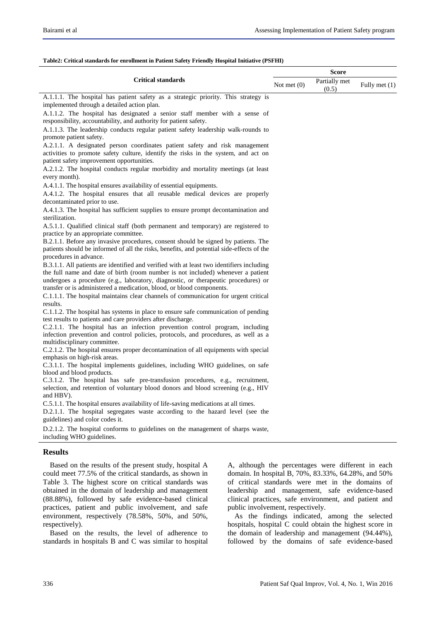**Score**

| <b>Critical standards</b>                                                                                                                                                     | Not met $(0)$ | Partially met<br>(0.5) | Fully met (1) |
|-------------------------------------------------------------------------------------------------------------------------------------------------------------------------------|---------------|------------------------|---------------|
| A.1.1.1. The hospital has patient safety as a strategic priority. This strategy is<br>implemented through a detailed action plan.                                             |               |                        |               |
| A.1.1.2. The hospital has designated a senior staff member with a sense of                                                                                                    |               |                        |               |
| responsibility, accountability, and authority for patient safety.                                                                                                             |               |                        |               |
| A.1.1.3. The leadership conducts regular patient safety leadership walk-rounds to                                                                                             |               |                        |               |
| promote patient safety.                                                                                                                                                       |               |                        |               |
| A.2.1.1. A designated person coordinates patient safety and risk management                                                                                                   |               |                        |               |
| activities to promote safety culture, identify the risks in the system, and act on                                                                                            |               |                        |               |
| patient safety improvement opportunities.                                                                                                                                     |               |                        |               |
| A.2.1.2. The hospital conducts regular morbidity and mortality meetings (at least                                                                                             |               |                        |               |
| every month).                                                                                                                                                                 |               |                        |               |
| A.4.1.1. The hospital ensures availability of essential equipments.<br>A.4.1.2. The hospital ensures that all reusable medical devices are properly                           |               |                        |               |
| decontaminated prior to use.                                                                                                                                                  |               |                        |               |
| A.4.1.3. The hospital has sufficient supplies to ensure prompt decontamination and                                                                                            |               |                        |               |
| sterilization.                                                                                                                                                                |               |                        |               |
| A.5.1.1. Qualified clinical staff (both permanent and temporary) are registered to                                                                                            |               |                        |               |
| practice by an appropriate committee.                                                                                                                                         |               |                        |               |
| B.2.1.1. Before any invasive procedures, consent should be signed by patients. The                                                                                            |               |                        |               |
| patients should be informed of all the risks, benefits, and potential side-effects of the                                                                                     |               |                        |               |
| procedures in advance.                                                                                                                                                        |               |                        |               |
| B.3.1.1. All patients are identified and verified with at least two identifiers including<br>the full name and date of birth (room number is not included) whenever a patient |               |                        |               |
| undergoes a procedure (e.g., laboratory, diagnostic, or therapeutic procedures) or                                                                                            |               |                        |               |
| transfer or is administered a medication, blood, or blood components.                                                                                                         |               |                        |               |
| C.1.1.1. The hospital maintains clear channels of communication for urgent critical                                                                                           |               |                        |               |
| results.                                                                                                                                                                      |               |                        |               |
| C.1.1.2. The hospital has systems in place to ensure safe communication of pending                                                                                            |               |                        |               |
| test results to patients and care providers after discharge.                                                                                                                  |               |                        |               |
| C.2.1.1. The hospital has an infection prevention control program, including<br>infection prevention and control policies, protocols, and procedures, as well as a            |               |                        |               |
| multidisciplinary committee.                                                                                                                                                  |               |                        |               |
| C.2.1.2. The hospital ensures proper decontamination of all equipments with special                                                                                           |               |                        |               |
| emphasis on high-risk areas.                                                                                                                                                  |               |                        |               |
| C.3.1.1. The hospital implements guidelines, including WHO guidelines, on safe                                                                                                |               |                        |               |
| blood and blood products.                                                                                                                                                     |               |                        |               |
| C.3.1.2. The hospital has safe pre-transfusion procedures, e.g., recruitment,<br>selection, and retention of voluntary blood donors and blood screening (e.g., HIV            |               |                        |               |
| and HBV).                                                                                                                                                                     |               |                        |               |
| C.5.1.1. The hospital ensures availability of life-saving medications at all times.                                                                                           |               |                        |               |
| D.2.1.1. The hospital segregates waste according to the hazard level (see the                                                                                                 |               |                        |               |
| guidelines) and color codes it.                                                                                                                                               |               |                        |               |
| D.2.1.2. The hospital conforms to guidelines on the management of sharps waste,                                                                                               |               |                        |               |
| including WHO guidelines.                                                                                                                                                     |               |                        |               |
|                                                                                                                                                                               |               |                        |               |

#### **Table2: Critical standards for enrollment in Patient Safety Friendly Hospital Initiative (PSFHI)**

# **Results**

Based on the results of the present study, hospital A could meet 77.5% of the critical standards, as shown in Table 3. The highest score on critical standards was obtained in the domain of leadership and management (88.88%), followed by safe evidence-based clinical practices, patient and public involvement, and safe environment, respectively (78.58%, 50%, and 50%, respectively).

Based on the results, the level of adherence to standards in hospitals B and C was similar to hospital

A, although the percentages were different in each domain. In hospital B, 70%, 83.33%, 64.28%, and 50% of critical standards were met in the domains of leadership and management, safe evidence-based clinical practices, safe environment, and patient and public involvement, respectively.

As the findings indicated, among the selected hospitals, hospital C could obtain the highest score in the domain of leadership and management (94.44%), followed by the domains of safe evidence-based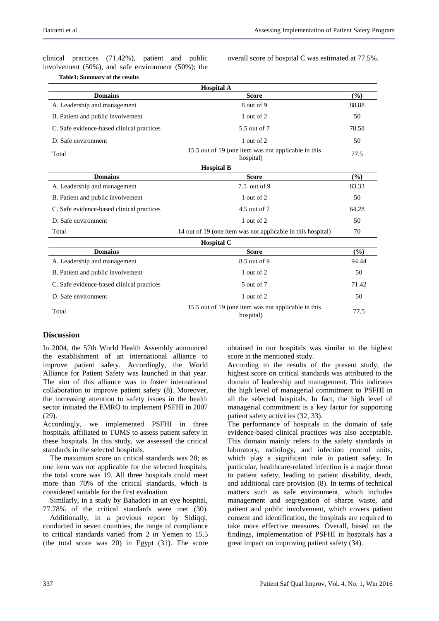clinical practices (71.42%), patient and public involvement (50%), and safe environment (50%); the

**Table3: Summary of the results** 

overall score of hospital C was estimated at 77.5%.

| <b>Hospital A</b>                         |                                                                  |       |  |  |  |
|-------------------------------------------|------------------------------------------------------------------|-------|--|--|--|
| <b>Domains</b>                            | <b>Score</b>                                                     | (%)   |  |  |  |
| A. Leadership and management              | 8 out of 9                                                       | 88.88 |  |  |  |
| B. Patient and public involvement         | 1 out of 2                                                       | 50    |  |  |  |
| C. Safe evidence-based clinical practices | 5.5 out of 7                                                     | 78.58 |  |  |  |
| D. Safe environment                       | 1 out of 2                                                       | 50    |  |  |  |
| Total                                     | 15.5 out of 19 (one item was not applicable in this<br>hospital) | 77.5  |  |  |  |
| <b>Hospital B</b>                         |                                                                  |       |  |  |  |
| <b>Domains</b>                            | <b>Score</b>                                                     | (9/0) |  |  |  |
| A. Leadership and management              | 7.5 out of 9                                                     | 83.33 |  |  |  |
| B. Patient and public involvement         | 1 out of 2                                                       | 50    |  |  |  |
| C. Safe evidence-based clinical practices | 4.5 out of 7                                                     | 64.28 |  |  |  |
| D. Safe environment                       | 1 out of 2                                                       | 50    |  |  |  |
| Total                                     | 14 out of 19 (one item was not applicable in this hospital)      | 70    |  |  |  |
|                                           | <b>Hospital C</b>                                                |       |  |  |  |
| <b>Domains</b>                            | <b>Score</b>                                                     | (%)   |  |  |  |
| A. Leadership and management              | 8.5 out of 9                                                     | 94.44 |  |  |  |
| B. Patient and public involvement         | 1 out of 2                                                       | 50    |  |  |  |
| C. Safe evidence-based clinical practices | 5 out of 7                                                       | 71.42 |  |  |  |
| D. Safe environment                       | 1 out of 2                                                       | 50    |  |  |  |
| Total                                     | 15.5 out of 19 (one item was not applicable in this<br>hospital) | 77.5  |  |  |  |

### **Discussion**

In 2004, the 57th World Health Assembly announced the establishment of an international alliance to improve patient safety. Accordingly, the World Alliance for Patient Safety was launched in that year. The aim of this alliance was to foster international collaboration to improve patient safety (8). Moreover, the increasing attention to safety issues in the health sector initiated the EMRO to implement PSFHI in 2007 (29).

Accordingly, we implemented PSFHI in three hospitals, affiliated to TUMS to assess patient safety in these hospitals. In this study, we assessed the critical standards in the selected hospitals.

The maximum score on critical standards was 20; as one item was not applicable for the selected hospitals, the total score was 19. All three hospitals could meet more than 70% of the critical standards, which is considered suitable for the first evaluation.

Similarly, in a study by Bahadori in an eye hospital, 77.78% of the critical standards were met (30).

Additionally, in a previous report by Sidiqqi, conducted in seven countries, the range of compliance to critical standards varied from 2 in Yemen to 15.5 (the total score was 20) in Egypt (31). The score obtained in our hospitals was similar to the highest score in the mentioned study.

According to the results of the present study, the highest score on critical standards was attributed to the domain of leadership and management. This indicates the high level of managerial commitment to PSFHI in all the selected hospitals. In fact, the high level of managerial commitment is a key factor for supporting patient safety activities (32, 33).

The performance of hospitals in the domain of safe evidence-based clinical practices was also acceptable. This domain mainly refers to the safety standards in laboratory, radiology, and infection control units, which play a significant role in patient safety. In particular, healthcare-related infection is a major threat to patient safety, leading to patient disability, death, and additional care provision (8). In terms of technical matters such as safe environment, which includes management and segregation of sharps waste, and patient and public involvement, which covers patient consent and identification, the hospitals are required to take more effective measures. Overall, based on the findings, implementation of PSFHI in hospitals has a great impact on improving patient safety (34).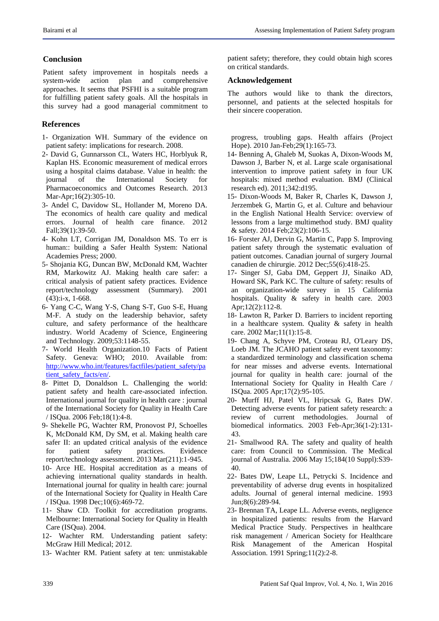## **Conclusion**

Patient safety improvement in hospitals needs a system-wide action plan and comprehensive approaches. It seems that PSFHI is a suitable program for fulfilling patient safety goals. All the hospitals in this survey had a good managerial commitment to

# **References**

- 1- Organization WH. Summary of the evidence on patient safety: implications for research. 2008.
- 2- David G, Gunnarsson CL, Waters HC, Horblyuk R, Kaplan HS. Economic measurement of medical errors using a hospital claims database. Value in health: the journal of the International Society for Pharmacoeconomics and Outcomes Research. 2013 Mar-Apr;16(2):305-10.
- 3- Andel C, Davidow SL, Hollander M, Moreno DA. The economics of health care quality and medical errors. Journal of health care finance. 2012 Fall;39(1):39-50.
- 4- Kohn LT, Corrigan JM, Donaldson MS. To err is human:: building a Safer Health System: National Academies Press; 2000.
- 5- Shojania KG, Duncan BW, McDonald KM, Wachter RM, Markowitz AJ. Making health care safer: a critical analysis of patient safety practices. Evidence report/technology assessment (Summary). 2001 (43):i-x, 1-668.
- 6- Yang C-C, Wang Y-S, Chang S-T, Guo S-E, Huang M-F. A study on the leadership behavior, safety culture, and safety performance of the healthcare industry. World Academy of Science, Engineering and Technology. 2009;53:1148-55.
- 7- World Health Organization.10 Facts of Patient Safety. Geneva: WHO; 2010. Available from: [http://www.who.int/features/factfiles/patient\\_safety/pa](http://www.who.int/features/factfiles/patient_safety/patient_safety_facts/en/) [tient\\_safety\\_facts/en/.](http://www.who.int/features/factfiles/patient_safety/patient_safety_facts/en/)
- 8- Pittet D, Donaldson L. Challenging the world: patient safety and health care-associated infection. International journal for quality in health care : journal of the International Society for Quality in Health Care / ISQua. 2006 Feb;18(1):4-8.
- 9- Shekelle PG, Wachter RM, Pronovost PJ, Schoelles K, McDonald KM, Dy SM, et al. Making health care safer II: an updated critical analysis of the evidence for patient safety practices. Evidence report/technology assessment. 2013 Mar(211):1-945.
- 10- Arce HE. Hospital accreditation as a means of achieving international quality standards in health. International journal for quality in health care: journal of the International Society for Quality in Health Care / ISQua. 1998 Dec;10(6):469-72.
- 11- Shaw CD. Toolkit for accreditation programs. Melbourne: International Society for Quality in Health Care (ISQua). 2004.
- 12- Wachter RM. Understanding patient safety: McGraw Hill Medical; 2012.
- 13- Wachter RM. Patient safety at ten: unmistakable

patient safety; therefore, they could obtain high scores on critical standards.

## **Acknowledgement**

The authors would like to thank the directors, personnel, and patients at the selected hospitals for their sincere cooperation.

progress, troubling gaps. Health affairs (Project Hope). 2010 Jan-Feb;29(1):165-73.

- 14- Benning A, Ghaleb M, Suokas A, Dixon-Woods M, Dawson J, Barber N, et al. Large scale organisational intervention to improve patient safety in four UK hospitals: mixed method evaluation. BMJ (Clinical research ed). 2011;342:d195.
- 15- Dixon-Woods M, Baker R, Charles K, Dawson J, Jerzembek G, Martin G, et al. Culture and behaviour in the English National Health Service: overview of lessons from a large multimethod study. BMJ quality & safety. 2014 Feb;23(2):106-15.
- 16- Forster AJ, Dervin G, Martin C, Papp S. Improving patient safety through the systematic evaluation of patient outcomes. Canadian journal of surgery Journal canadien de chirurgie. 2012 Dec;55(6):418-25.
- 17- Singer SJ, Gaba DM, Geppert JJ, Sinaiko AD, Howard SK, Park KC. The culture of safety: results of an organization-wide survey in 15 California hospitals. Quality & safety in health care. 2003 Apr;12(2):112-8.
- 18- Lawton R, Parker D. Barriers to incident reporting in a healthcare system. Quality & safety in health care. 2002 Mar;11(1):15-8.
- 19- Chang A, Schyve PM, Croteau RJ, O'Leary DS, Loeb JM. The JCAHO patient safety event taxonomy: a standardized terminology and classification schema for near misses and adverse events. International journal for quality in health care: journal of the International Society for Quality in Health Care / ISQua. 2005 Apr;17(2):95-105.
- 20- Murff HJ, Patel VL, Hripcsak G, Bates DW. Detecting adverse events for patient safety research: a review of current methodologies. Journal of biomedical informatics. 2003 Feb-Apr;36(1-2):131- 43.
- 21- Smallwood RA. The safety and quality of health care: from Council to Commission. The Medical journal of Australia. 2006 May 15;184(10 Suppl):S39- 40.
- 22- Bates DW, Leape LL, Petrycki S. Incidence and preventability of adverse drug events in hospitalized adults. Journal of general internal medicine. 1993 Jun;8(6):289-94.
- 23- Brennan TA, Leape LL. Adverse events, negligence in hospitalized patients: results from the Harvard Medical Practice Study. Perspectives in healthcare risk management / American Society for Healthcare Risk Management of the American Hospital Association. 1991 Spring;11(2):2-8.